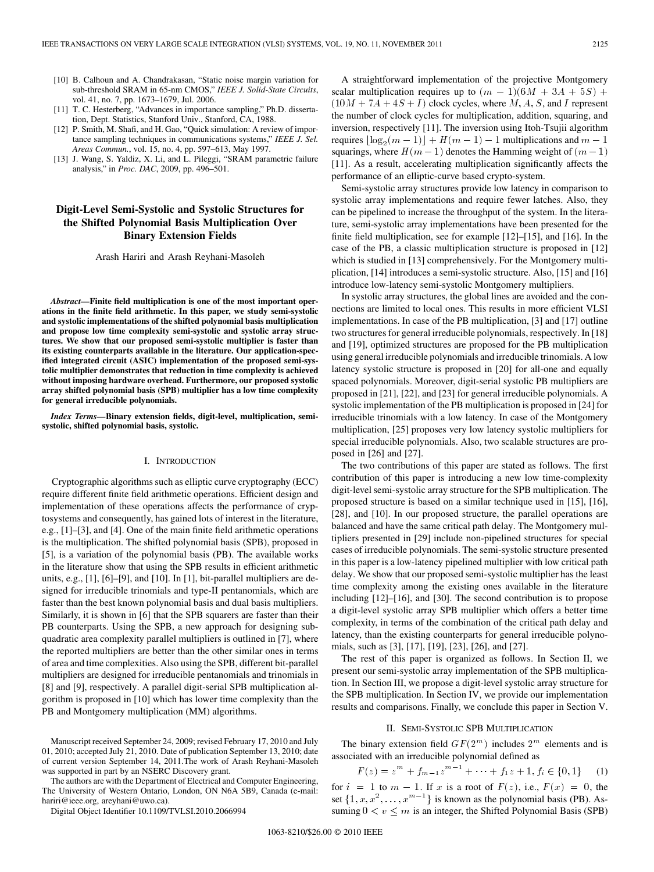- [10] B. Calhoun and A. Chandrakasan, "Static noise margin variation for sub-threshold SRAM in 65-nm CMOS," *IEEE J. Solid-State Circuits*, vol. 41, no. 7, pp. 1673–1679, Jul. 2006.
- [11] T. C. Hesterberg, "Advances in importance sampling," Ph.D. dissertation, Dept. Statistics, Stanford Univ., Stanford, CA, 1988.
- [12] P. Smith, M. Shafi, and H. Gao, "Quick simulation: A review of importance sampling techniques in communications systems," *IEEE J. Sel. Areas Commun.*, vol. 15, no. 4, pp. 597–613, May 1997.
- [13] J. Wang, S. Yaldiz, X. Li, and L. Pileggi, "SRAM parametric failure analysis," in *Proc. DAC*, 2009, pp. 496–501.

# **Digit-Level Semi-Systolic and Systolic Structures for the Shifted Polynomial Basis Multiplication Over Binary Extension Fields**

Arash Hariri and Arash Reyhani-Masoleh

*Abstract—***Finite field multiplication is one of the most important operations in the finite field arithmetic. In this paper, we study semi-systolic and systolic implementations of the shifted polynomial basis multiplication and propose low time complexity semi-systolic and systolic array structures. We show that our proposed semi-systolic multiplier is faster than its existing counterparts available in the literature. Our application-specified integrated circuit (ASIC) implementation of the proposed semi-systolic multiplier demonstrates that reduction in time complexity is achieved without imposing hardware overhead. Furthermore, our proposed systolic array shifted polynomial basis (SPB) multiplier has a low time complexity for general irreducible polynomials.**

*Index Terms—***Binary extension fields, digit-level, multiplication, semisystolic, shifted polynomial basis, systolic.**

# I. INTRODUCTION

Cryptographic algorithms such as elliptic curve cryptography (ECC) require different finite field arithmetic operations. Efficient design and implementation of these operations affects the performance of cryptosystems and consequently, has gained lots of interest in the literature, e.g., [1]–[3], and [4]. One of the main finite field arithmetic operations is the multiplication. The shifted polynomial basis (SPB), proposed in [5], is a variation of the polynomial basis (PB). The available works in the literature show that using the SPB results in efficient arithmetic units, e.g., [1], [6]–[9], and [10]. In [1], bit-parallel multipliers are designed for irreducible trinomials and type-II pentanomials, which are faster than the best known polynomial basis and dual basis multipliers. Similarly, it is shown in [6] that the SPB squarers are faster than their PB counterparts. Using the SPB, a new approach for designing subquadratic area complexity parallel multipliers is outlined in [7], where the reported multipliers are better than the other similar ones in terms of area and time complexities. Also using the SPB, different bit-parallel multipliers are designed for irreducible pentanomials and trinomials in [8] and [9], respectively. A parallel digit-serial SPB multiplication algorithm is proposed in [10] which has lower time complexity than the PB and Montgomery multiplication (MM) algorithms.

The authors are with the Department of Electrical and Computer Engineering, The University of Western Ontario, London, ON N6A 5B9, Canada (e-mail: hariri@ieee.org, areyhani@uwo.ca).

Digital Object Identifier 10.1109/TVLSI.2010.2066994

A straightforward implementation of the projective Montgomery scalar multiplication requires up to  $(m - 1)(6M + 3A + 5S)$  +  $(10M + 7A + 4S + I)$  clock cycles, where M, A, S, and I represent the number of clock cycles for multiplication, addition, squaring, and inversion, respectively [11]. The inversion using Itoh-Tsujii algorithm requires  $\lfloor \log_2(m-1) \rfloor + H(m-1) - 1$  multiplications and  $m-1$ squarings, where  $H(m-1)$  denotes the Hamming weight of  $(m-1)$ [11]. As a result, accelerating multiplication significantly affects the performance of an elliptic-curve based crypto-system.

Semi-systolic array structures provide low latency in comparison to systolic array implementations and require fewer latches. Also, they can be pipelined to increase the throughput of the system. In the literature, semi-systolic array implementations have been presented for the finite field multiplication, see for example [12]–[15], and [16]. In the case of the PB, a classic multiplication structure is proposed in [12] which is studied in [13] comprehensively. For the Montgomery multiplication, [14] introduces a semi-systolic structure. Also, [15] and [16] introduce low-latency semi-systolic Montgomery multipliers.

In systolic array structures, the global lines are avoided and the connections are limited to local ones. This results in more efficient VLSI implementations. In case of the PB multiplication, [3] and [17] outline two structures for general irreducible polynomials, respectively. In [18] and [19], optimized structures are proposed for the PB multiplication using general irreducible polynomials and irreducible trinomials. A low latency systolic structure is proposed in [20] for all-one and equally spaced polynomials. Moreover, digit-serial systolic PB multipliers are proposed in [21], [22], and [23] for general irreducible polynomials. A systolic implementation of the PB multiplication is proposed in [24] for irreducible trinomials with a low latency. In case of the Montgomery multiplication, [25] proposes very low latency systolic multipliers for special irreducible polynomials. Also, two scalable structures are proposed in [26] and [27].

The two contributions of this paper are stated as follows. The first contribution of this paper is introducing a new low time-complexity digit-level semi-systolic array structure for the SPB multiplication. The proposed structure is based on a similar technique used in [15], [16], [28], and [10]. In our proposed structure, the parallel operations are balanced and have the same critical path delay. The Montgomery multipliers presented in [29] include non-pipelined structures for special cases of irreducible polynomials. The semi-systolic structure presented in this paper is a low-latency pipelined multiplier with low critical path delay. We show that our proposed semi-systolic multiplier has the least time complexity among the existing ones available in the literature including [12]–[16], and [30]. The second contribution is to propose a digit-level systolic array SPB multiplier which offers a better time complexity, in terms of the combination of the critical path delay and latency, than the existing counterparts for general irreducible polynomials, such as [3], [17], [19], [23], [26], and [27].

The rest of this paper is organized as follows. In Section II, we present our semi-systolic array implementation of the SPB multiplication. In Section III, we propose a digit-level systolic array structure for the SPB multiplication. In Section IV, we provide our implementation results and comparisons. Finally, we conclude this paper in Section V.

### II. SEMI-SYSTOLIC SPB MULTIPLICATION

The binary extension field  $GF(2^m)$  includes  $2^m$  elements and is<br>sociated with an irreducible polynomial defined as associated with an irreducible polynomial defined as ttension fie<br>an irreducil<br> $m + f_{m-1}$ 

$$
F(z) = zm + fm-1zm-1 + \dots + f1z + 1, fi \in \{0, 1\} \tag{1}
$$

for  $i = 1$  to  $m - 1$ . If x is a root of  $F(z)$ , i.e.,  $F(x) = 0$ , the  $F(z) = z^m + f_{m-1}z^{m-1} + \cdots + f_1z + 1, f_i \in \{0, 1\}$  (1)<br>for  $i = 1$  to  $m - 1$ . If x is a root of  $F(z)$ , i.e.,  $F(x) = 0$ , the<br>set  $\{1, x, x^2, \ldots, x^{m-1}\}$  is known as the polynomial basis (PB). Assuming  $0 < v \le m$  is an integer, the Shifted Polynomial Basis (SPB)

Manuscript received September 24, 2009; revised February 17, 2010 and July 01, 2010; accepted July 21, 2010. Date of publication September 13, 2010; date of current version September 14, 2011.The work of Arash Reyhani-Masoleh was supported in part by an NSERC Discovery grant.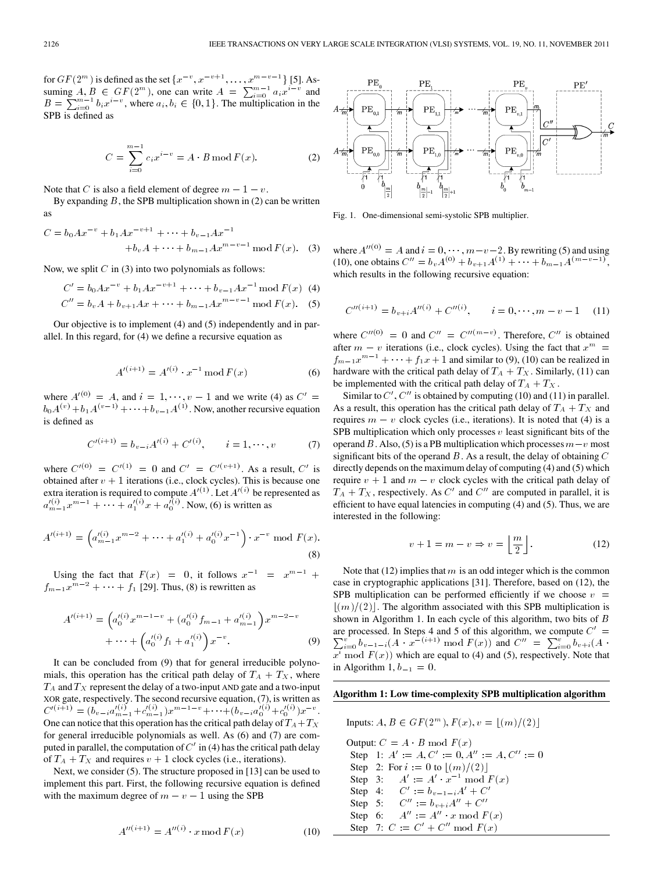for  $GF(2^m)$  is defined as the set  $\{x^{-v}, x^{-v+1}, \dots, x^{m-v-1}\}$  [5]. Asfor  $GF(2^m)$  is defined as the set  $\{x^{-v}, x^{-v+1}, \dots, x^{m-v-1}\}$  [5]. Assuming  $A, B \in GF(2^m)$ , one can write  $A = \sum_{i=0}^{m-1} a_i x^{i-v}$  and for  $GF(2^m)$  is defin<br>suming  $A, B \in G$ .<br> $B = \sum_{i=0}^{m-1} b_i x^{i-v}$  $b_i x^{i-v}$ , where  $a_i, b_i \in \{0, 1\}$ . The multiplication in the SPB is defined as

as  

$$
C = \sum_{i=0}^{m-1} c_i x^{i-v} = A \cdot B \mod F(x).
$$
 (2)

Note that C is also a field element of degree  $m - 1 - v$ .

By expanding B, the SPB multiplication shown in (2) can be written<br>as<br> $C = b_0 A x^{-v} + b_1 A x^{-v+1} + \cdots + b_{v-1} A x^{-1}$ as

as  
\n
$$
C = b_0 A x^{-v} + b_1 A x^{-v+1} + \dots + b_{v-1} A x^{-1}
$$
\n
$$
+ b_v A + \dots + b_{m-1} A x^{m-v-1} \mod F(x). \quad (3)
$$

Now, we split  $C$  in (3) into two polynomials as follows:

$$
C' = b_0 A x^{-v} + b_1 A x^{-v+1} + \dots + b_{v-1} A x^{-1} \mod F(x)
$$
 (4)  

$$
C'' = b_v A + b_{v+1} A x + \dots + b_{m-1} A x^{m-v-1} \mod F(x).
$$
 (5)

Our objective is to implement (4) and (5) independently and in parallel. In this regard, for (4) we define a recursive equation as

$$
A'^{(i+1)} = A'^{(i)} \cdot x^{-1} \bmod F(x) \tag{6}
$$

where  $A^{(0)} = A$ , and  $i = 1, \dots, v - 1$  and we write (4) as  $C' =$  $b_0 A^{(v)} + b_1 A^{(v-1)} + \cdots + b_{v-1} A^{(1)}$ . Now, another recursive equation is defined as

$$
C'^{(i+1)} = b_{v-i}A'^{(i)} + C'^{(i)}, \qquad i = 1, \cdots, v \tag{7}
$$

where  $C'^{(0)} = C'^{(1)} = 0$  and  $C' = C'^{(v+1)}$ . As a result,  $C'$  is obtained after  $v + 1$  iterations (i.e., clock cycles). This is because one extra iteration is required to compute  $A'(1)$ . Let  $A'(i)$  be represented as  $a'^{(i)}_{m-1}x^{m-1} + \cdots + a'^{(i)}_{1}x + a'^{(i)}_{0}$ . Now, (6) is written as

$$
A'^{(i+1)} = \left(a'^{(i)}_{m-1}x^{m-2} + \dots + a'^{(i)}_1 + a'^{(i)}_0x^{-1}\right) \cdot x^{-\nu} \mod F(x).
$$
\n(8)

Using the fact that  $F(x) = 0$ , it follows  $x^{-1} = x^{m-1} +$  $f_{m-1}x^{m-2} + \cdots + f_1$  [29]. Thus, (8) is rewritten as

$$
A'^{(i+1)} = \left(a_0'^{(i)}x^{m-1-v} + \left(a_0'^{(i)}f_{m-1} + a_{m-1}'^{(i)}\right)x^{m-2-v} + \cdots + \left(a_0'^{(i)}f_1 + a_1'^{(i)}\right)x^{-v}.
$$
\n(9)

It can be concluded from (9) that for general irreducible polynomials, this operation has the critical path delay of  $T_A + T_X$ , where  $T_A$  and  $T_X$  represent the delay of a two-input AND gate and a two-input XOR gate, respectively. The second recursive equation, (7), is written as  $C'^{(i+1)} = (b_{v-i} a'_{m-1} + c'_{m-1}) x^{m-1-v} + \cdots + (b_{v-i} a'_{0}^{(i)} + c'_{0}^{(i)}) x^{-v}.$ One can notice that this operation has the critical path delay of  $T_A + T_X$ for general irreducible polynomials as well. As (6) and (7) are computed in parallel, the computation of  $C'$  in (4) has the critical path delay of  $T_A + T_X$  and requires  $v + 1$  clock cycles (i.e., iterations).

Next, we consider (5). The structure proposed in [13] can be used to implement this part. First, the following recursive equation is defined with the maximum degree of  $m - v - 1$  using the SPB

$$
A''^{(i+1)} = A''^{(i)} \cdot x \mod F(x) \tag{10}
$$



Fig. 1. One-dimensional semi-systolic SPB multiplier.

where  $A''^{(0)} = A$  and  $i = 0, \dots, m - v - 2$ . By rewriting (5) and using (10), one obtains  $C'' = b_v A^{(0)} + b_{v+1} A^{(1)} + \cdots + b_{m-1} A^{(m-v-1)}$ , which results in the following recursive equation:

$$
C''^{(i+1)} = b_{v+i}A''^{(i)} + C''^{(i)}, \qquad i = 0, \cdots, m - v - 1 \quad (11)
$$

where  $C'''^{(0)} = 0$  and  $C''' = C'''^{(m-v)}$ . Therefore,  $C'''$  is obtained after  $m - v$  iterations (i.e., clock cycles). Using the fact that  $x^m =$  $f_{m-1}x^{m-1} + \cdots + f_1x + 1$  and similar to (9), (10) can be realized in hardware with the critical path delay of  $T_A + T_X$ . Similarly, (11) can be implemented with the critical path delay of  $T_A + T_X$ .

Similar to  $C'$ ,  $C''$  is obtained by computing (10) and (11) in parallel. As a result, this operation has the critical path delay of  $T_A + T_X$  and requires  $m - v$  clock cycles (i.e., iterations). It is noted that (4) is a SPB multiplication which only processes  $v$  least significant bits of the operand B. Also, (5) is a PB multiplication which processes  $m-v$  most significant bits of the operand  $B$ . As a result, the delay of obtaining  $C$ directly depends on the maximum delay of computing (4) and (5) which require  $v + 1$  and  $m - v$  clock cycles with the critical path delay of  $T_A + T_X$ , respectively. As C' and C'' are computed in parallel, it is efficient to have equal latencies in computing (4) and (5). Thus, we are interested in the following:

$$
v + 1 = m - v \Rightarrow v = \left\lfloor \frac{m}{2} \right\rfloor.
$$
 (12)

Note that  $(12)$  implies that m is an odd integer which is the common case in cryptographic applications [31]. Therefore, based on (12), the SPB multiplication can be performed efficiently if we choose  $v =$  $\lfloor (m)/(2) \rfloor$ . The algorithm associated with this SPB multiplication is shown in Algorithm 1. In each cycle of this algorithm, two bits of  $B$ are processed. In Steps 4 and 5 of this algorithm, we compute  $C' =$  $\sum_{i=0}^{v} b_{v-1-i}(A \cdot x^{-i+1}) \mod F(x)$  and  $C'' = \sum_{i=0}^{v} b_{v+i}(A \cdot$  $\overline{x^i}$  mod  $F(x)$ ) which are equal to (4) and (5), respectively. Note that in Algorithm 1,  $b_{-1} = 0$ .

# **Algorithm 1: Low time-complexity SPB multiplication algorithm**

Inputs: -- - - Output: - Step 1:     Step 2: For  to - Step 3:  -- - Step 4:  ---- Step 5:  - Step 6:  - Step 7:  -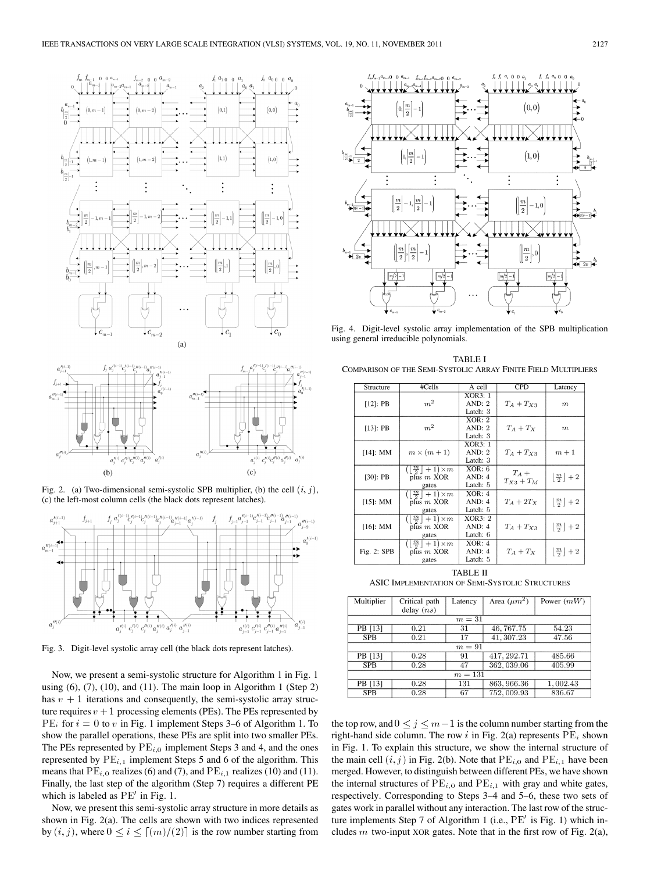



Fig. 4. Digit-level systolic array implementation of the SPB multiplication using general irreducible polynomials.







Fig. 3. Digit-level systolic array cell (the black dots represent latches).

Now, we present a semi-systolic structure for Algorithm 1 in Fig. 1 using  $(6)$ ,  $(7)$ ,  $(10)$ , and  $(11)$ . The main loop in Algorithm 1 (Step 2) has  $v + 1$  iterations and consequently, the semi-systolic array structure requires  $v + 1$  processing elements (PEs). The PEs represented by  $PE_i$  for  $i = 0$  to v in Fig. 1 implement Steps 3–6 of Algorithm 1. To show the parallel operations, these PEs are split into two smaller PEs. The PEs represented by  $PE_{i,0}$  implement Steps 3 and 4, and the ones represented by  $PE_{i,1}$  implement Steps 5 and 6 of the algorithm. This means that  $PE_{i,0}$  realizes (6) and (7), and  $PE_{i,1}$  realizes (10) and (11). Finally, the last step of the algorithm (Step 7) requires a different PE which is labeled as  $PE'$  in Fig. 1.

Now, we present this semi-systolic array structure in more details as shown in Fig. 2(a). The cells are shown with two indices represented by  $(i, j)$ , where  $0 \le i \le [(m)/(2)]$  is the row number starting from

TABLE I COMPARISON OF THE SEMI-SYSTOLIC ARRAY FINITE FIELD MULTIPLIERS

| Structure   | #Cells                                                                 | A cell             | CPD          | Latency                                      |
|-------------|------------------------------------------------------------------------|--------------------|--------------|----------------------------------------------|
| $[12]$ : PB |                                                                        | XOR3:1             |              |                                              |
|             | m <sup>2</sup>                                                         | AND: 2<br>Latch: 3 | $T_A+T_{X3}$ | $\boldsymbol{m}$                             |
|             |                                                                        | XOR: 2             |              |                                              |
| $[13]$ : PB | m <sup>2</sup>                                                         | AND: 2             | $T_A+T_X$    | $\boldsymbol{m}$                             |
|             |                                                                        | Latch: 3           |              |                                              |
| $[14]$ : MM |                                                                        | XOR3:1             |              |                                              |
|             | $m \times (m+1)$                                                       | AND: 2             | $T_A+T_{X3}$ | $m+1$                                        |
|             |                                                                        | Latch: 3           |              |                                              |
| $[30]$ : PB | $(\lfloor \frac{m}{2} \rfloor + 1) \times m$                           | XOR: 6             | $T_A +$      |                                              |
|             | plus $m$ XOR                                                           | AND: 4             | $T_{X3}+T_M$ | $\lfloor \frac{m}{2} \rfloor + 2$            |
|             | gates                                                                  | Latch: 5           |              |                                              |
| $[15]$ : MM | $\left(\left\lfloor \frac{m}{2} \right\rfloor + 1\right)$ × m          | XOR: 4             |              |                                              |
|             | plus $m$ XOR                                                           | AND: 4             | $T_A+2T_X$   | $\left\lfloor \frac{m}{2} \right\rfloor + 2$ |
|             | gates                                                                  | Latch: 5           |              |                                              |
| $[16]$ : MM | $\left(\left\lfloor \frac{m}{2} \right\rfloor + 1\right)$ × m          | XOR3:2             |              |                                              |
|             | plus $m$ XOR                                                           | AND: 4             | $T_A+T_{X3}$ | $\left \frac{m}{2}\right +2$                 |
|             | gates                                                                  | Latch: 6           |              |                                              |
| Fig. 2: SPB | $\left(\left\lfloor \frac{m}{2} \right\rfloor + 1\right)$ $\times$ $m$ | XOR: 4             |              |                                              |
|             | plus $m$ XOR                                                           | AND: 4             | $T_A+T_X$    | $\left\lfloor \frac{m}{2} \right\rfloor + 2$ |
|             | gates                                                                  | Latch: 5           |              |                                              |

TABLE II ASIC IMPLEMENTATION OF SEMI-SYSTOLIC STRUCTURES

| Multiplier | Critical path | Latency | Area $(\mu m^2)$ | Power $(mW)$ |  |  |  |
|------------|---------------|---------|------------------|--------------|--|--|--|
|            | delay $(ns)$  |         |                  |              |  |  |  |
| $m=31$     |               |         |                  |              |  |  |  |
| PB [13]    | 0.21          | -31     | 46, 767.75       | 54.23        |  |  |  |
| <b>SPB</b> | 0.21          | 17      | 41, 307.23       | 47.56        |  |  |  |
| $m=91$     |               |         |                  |              |  |  |  |
| PB [13]    | 0.28          | 91      | 417, 292.71      | 485.66       |  |  |  |
| <b>SPB</b> | 0.28          | 47      | 362, 039.06      | 405.99       |  |  |  |
| $m=131$    |               |         |                  |              |  |  |  |
| PB [13]    | 0.28          | 131     | 863, 966.36      | 1,002.43     |  |  |  |
| <b>SPB</b> | 0.28          | 67      | 752, 009.93      | 836.67       |  |  |  |

the top row, and  $0 \le j \le m-1$  is the column number starting from the right-hand side column. The row i in Fig. 2(a) represents  $PE_i$  shown in Fig. 1. To explain this structure, we show the internal structure of the main cell  $(i, j)$  in Fig. 2(b). Note that  $PE_{i,0}$  and  $PE_{i,1}$  have been merged. However, to distinguish between different PEs, we have shown the internal structures of  $PE_{i,0}$  and  $PE_{i,1}$  with gray and white gates, respectively. Corresponding to Steps 3–4 and 5–6, these two sets of gates work in parallel without any interaction. The last row of the structure implements Step 7 of Algorithm 1 (i.e.,  $PE'$  is Fig. 1) which includes  $m$  two-input XOR gates. Note that in the first row of Fig. 2(a),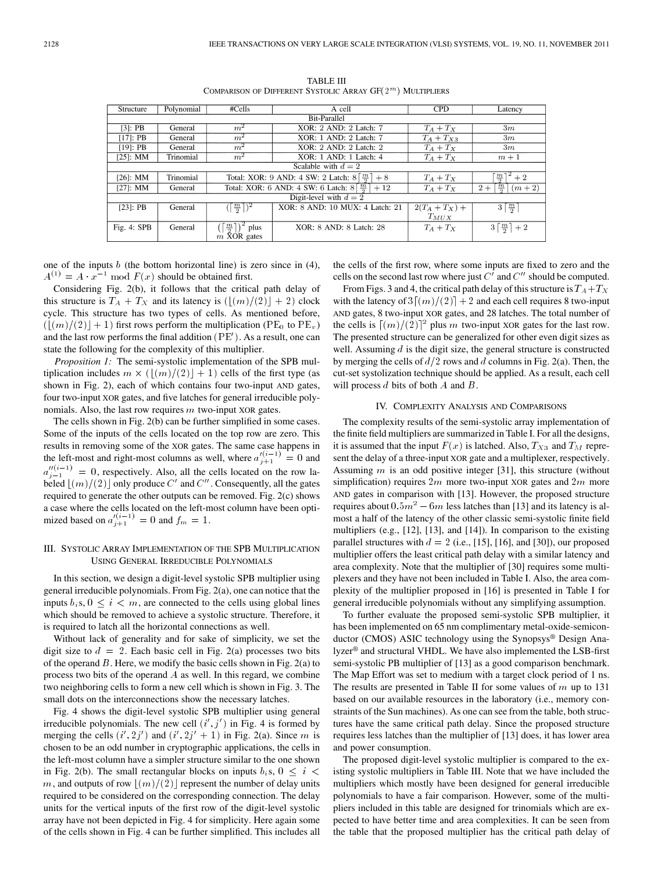| Structure              | Polynomial | $\#Cells$                                                          | A cell                                                             | <b>CPD</b>       | Latency                                     |  |  |  |
|------------------------|------------|--------------------------------------------------------------------|--------------------------------------------------------------------|------------------|---------------------------------------------|--|--|--|
| <b>Bit-Parallel</b>    |            |                                                                    |                                                                    |                  |                                             |  |  |  |
| $[3]$ : PB             | General    | m <sup>2</sup>                                                     | XOR: 2 AND: 2 Latch: 7                                             | $T_A+T_X$        | 3m                                          |  |  |  |
| $[17]:$ PB             | General    | XOR: 1 AND: 2 Latch: 7<br>$m^2$                                    |                                                                    | $T_A+T_{X3}$     | 3m                                          |  |  |  |
| $[19]$ : PB            | General    | $m^2$                                                              | XOR: 2 AND: 2 Latch: 2                                             |                  | 3m                                          |  |  |  |
| $[25]$ : MM            | Trinomial  | $m^2$                                                              | XOR: 1 AND: 1 Latch: 4                                             | $T_A+T_X$        | $m+1$                                       |  |  |  |
| Scalable with $d=2$    |            |                                                                    |                                                                    |                  |                                             |  |  |  |
| $[26]$ : MM            | Trinomial  |                                                                    | Total: XOR: 9 AND: 4 SW: 2 Latch: $8\lceil \frac{m}{3} \rceil + 8$ | $T_A+T_X$        | $+2$                                        |  |  |  |
| $[27]$ : MM            | General    | Total: XOR: 6 AND: 4 SW: 6 Latch: $8\left[\frac{m}{6}\right] + 12$ |                                                                    | $T_A+T_X$        | $\frac{m}{2}$<br>$2+$<br>$(m+2)$            |  |  |  |
| Digit-level with $d=2$ |            |                                                                    |                                                                    |                  |                                             |  |  |  |
| $[23]$ : PB            | General    | $(\left\lceil \frac{m}{2} \right\rceil)^2$                         | XOR: 8 AND: 10 MUX: 4 Latch: 21                                    | $2(T_A + T_X) +$ | $3\left\lceil \frac{m}{2}\right\rceil$      |  |  |  |
|                        |            |                                                                    |                                                                    | $T_{MUX}$        |                                             |  |  |  |
| Fig. 4: SPB            | General    | $\frac{m}{2}$<br>plus                                              | XOR: 8 AND: 8 Latch: 28                                            | $T_A+T_X$        | $3\left\lceil \frac{m}{2} \right\rceil + 2$ |  |  |  |
|                        |            | $\overrightarrow{m}$ XOR gates                                     |                                                                    |                  |                                             |  |  |  |

TABLE III COMPARISON OF DIFFERENT SYSTOLIC ARRAY  $\mathsf{GF}(2^{\,m})$  Multipliers

one of the inputs  $b$  (the bottom horizontal line) is zero since in (4),  $A^{(1)} = A \cdot x^{-1} \mod F(x)$  should be obtained first. he input<br> $A \cdot x^{-1}$ 

Considering Fig. 2(b), it follows that the critical path delay of this structure is  $T_A + T_X$  and its latency is  $(\lfloor (m)/(2) \rfloor + 2)$  clock cycle. This structure has two types of cells. As mentioned before,  $(\lfloor (m)/(2) \rfloor + 1)$  first rows perform the multiplication (PE<sub>0</sub> to PE<sub>v</sub>) and the last row performs the final addition  $(\overrightarrow{PE}')$ . As a result, one can state the following for the complexity of this multiplier.

*Proposition 1:* The semi-systolic implementation of the SPB multiplication includes  $m \times (\lfloor (m)/(2) \rfloor + 1)$  cells of the first type (as shown in Fig. 2), each of which contains four two-input AND gates, four two-input XOR gates, and five latches for general irreducible polynomials. Also, the last row requires  $m$  two-input XOR gates.

The cells shown in Fig. 2(b) can be further simplified in some cases. Some of the inputs of the cells located on the top row are zero. This results in removing some of the XOR gates. The same case happens in the left-most and right-most columns as well, where  $a_{j+1}^{i(i-1)} = 0$  and  $a_{j-1}^{\prime\prime(i-1)}=0$ , respectively. Also, all the cells located on the row labeled  $\lfloor (m)/(2) \rfloor$  only produce C' and C''. Consequently, all the gates required to generate the other outputs can be removed. Fig. 2(c) shows a case where the cells located on the left-most column have been optimized based on  $a_{j+1}^{\prime(i-1)} = 0$  and  $f_m = 1$ .

# III. SYSTOLIC ARRAY IMPLEMENTATION OF THE SPB MULTIPLICATION USING GENERAL IRREDUCIBLE POLYNOMIALS

In this section, we design a digit-level systolic SPB multiplier using general irreducible polynomials. From Fig. 2(a), one can notice that the inputs  $b_i$ s,  $0 \le i \le m$ , are connected to the cells using global lines which should be removed to achieve a systolic structure. Therefore, it is required to latch all the horizontal connections as well.

Without lack of generality and for sake of simplicity, we set the digit size to  $d = 2$ . Each basic cell in Fig. 2(a) processes two bits of the operand  $B$ . Here, we modify the basic cells shown in Fig. 2(a) to process two bits of the operand  $A$  as well. In this regard, we combine two neighboring cells to form a new cell which is shown in Fig. 3. The small dots on the interconnections show the necessary latches.

Fig. 4 shows the digit-level systolic SPB multiplier using general irreducible polynomials. The new cell  $(i', j')$  in Fig. 4 is formed by merging the cells  $(i', 2j')$  and  $(i', 2j' + 1)$  in Fig. 2(a). Since m is chosen to be an odd number in cryptographic applications, the cells in the left-most column have a simpler structure similar to the one shown in Fig. 2(b). The small rectangular blocks on inputs  $b_i$ s,  $0 \le i \le$ m, and outputs of row  $\lfloor (m)/(2) \rfloor$  represent the number of delay units required to be considered on the corresponding connection. The delay units for the vertical inputs of the first row of the digit-level systolic array have not been depicted in Fig. 4 for simplicity. Here again some of the cells shown in Fig. 4 can be further simplified. This includes all the cells of the first row, where some inputs are fixed to zero and the cells on the second last row where just  $C'$  and  $C''$  should be computed.

From Figs. 3 and 4, the critical path delay of this structure is  $T_A + T_X$ with the latency of  $3[(m)/(2)] + 2$  and each cell requires 8 two-input AND gates, 8 two-input XOR gates, and 28 latches. The total number of the cells is  $\lfloor (m)/(2) \rfloor^2$  plus m two-input XOR gates for the last row. The presented structure can be generalized for other even digit sizes as well. Assuming  $d$  is the digit size, the general structure is constructed by merging the cells of  $d/2$  rows and d columns in Fig. 2(a). Then, the cut-set systolization technique should be applied. As a result, each cell will process  $d$  bits of both  $A$  and  $B$ .

# IV. COMPLEXITY ANALYSIS AND COMPARISONS

The complexity results of the semi-systolic array implementation of the finite field multipliers are summarized in Table I. For all the designs, it is assumed that the input  $F(x)$  is latched. Also,  $T_{X3}$  and  $T_M$  represent the delay of a three-input XOR gate and a multiplexer, respectively. Assuming  $m$  is an odd positive integer [31], this structure (without simplification) requires  $2m$  more two-input XOR gates and  $2m$  more AND gates in comparison with [13]. However, the proposed structure requires about  $0.5m^2 - 6m$  less latches than [13] and its latency is almost a half of the latency of the other classic semi-systolic finite field multipliers (e.g., [12], [13], and [14]). In comparison to the existing parallel structures with  $d = 2$  (i.e., [15], [16], and [30]), our proposed multiplier offers the least critical path delay with a similar latency and area complexity. Note that the multiplier of [30] requires some multiplexers and they have not been included in Table I. Also, the area complexity of the multiplier proposed in [16] is presented in Table I for general irreducible polynomials without any simplifying assumption.

To further evaluate the proposed semi-systolic SPB multiplier, it has been implemented on 65 nm complimentary metal-oxide-semiconductor (CMOS) ASIC technology using the Synopsys® Design Analyzer® and structural VHDL. We have also implemented the LSB-first semi-systolic PB multiplier of [13] as a good comparison benchmark. The Map Effort was set to medium with a target clock period of 1 ns. The results are presented in Table II for some values of  $m$  up to 131 based on our available resources in the laboratory (i.e., memory constraints of the Sun machines). As one can see from the table, both structures have the same critical path delay. Since the proposed structure requires less latches than the multiplier of [13] does, it has lower area and power consumption.

The proposed digit-level systolic multiplier is compared to the existing systolic multipliers in Table III. Note that we have included the multipliers which mostly have been designed for general irreducible polynomials to have a fair comparison. However, some of the multipliers included in this table are designed for trinomials which are expected to have better time and area complexities. It can be seen from the table that the proposed multiplier has the critical path delay of